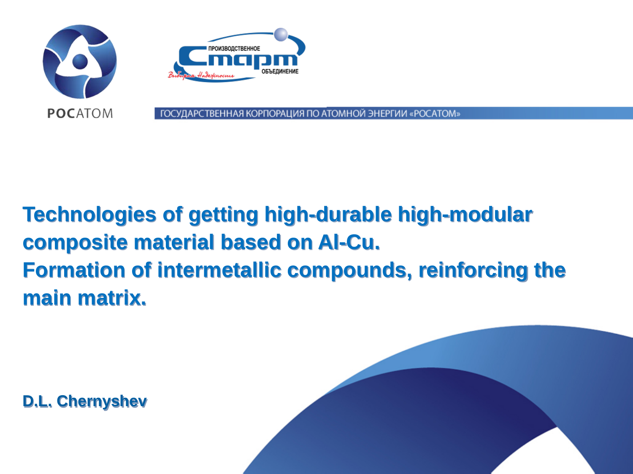

## **Technologies of getting high-durable high-modular composite material based on Al-Cu. Formation of intermetallic compounds, reinforcing the main matrix.**

**D.L. Chernyshev**

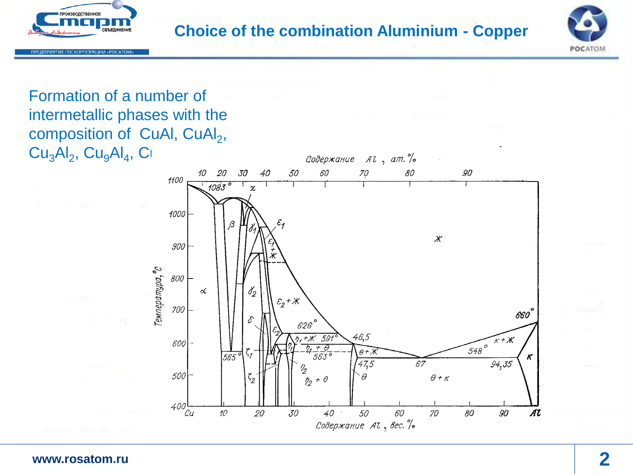



#### Formation of a number of intermetallic phases with the composition of CuAl, CuAl<sub>2</sub>,  $Cu<sub>3</sub>Al<sub>2</sub>, Cu<sub>9</sub>Al<sub>4</sub>, C<sub>1</sub>$

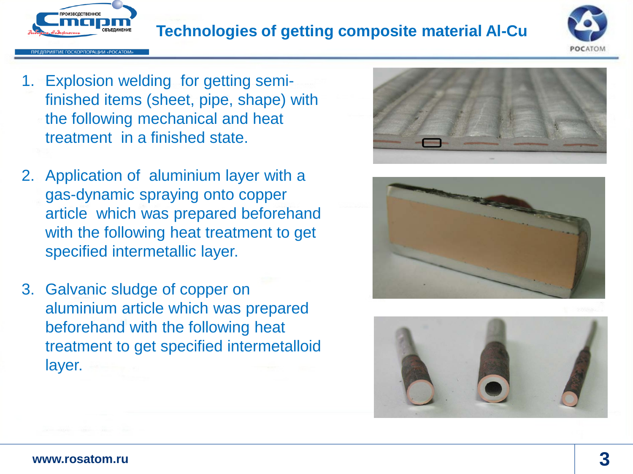

### **Technologies of getting composite material Al-Cu**



- 1. Explosion welding for getting semifinished items (sheet, pipe, shape) with the following mechanical and heat treatment in a finished state.
- 2. Application of aluminium layer with a gas-dynamic spraying onto copper article which was prepared beforehand with the following heat treatment to get specified intermetallic layer.
- 3. Galvanic sludge of copper on aluminium article which was prepared beforehand with the following heat treatment to get specified intermetalloid layer.





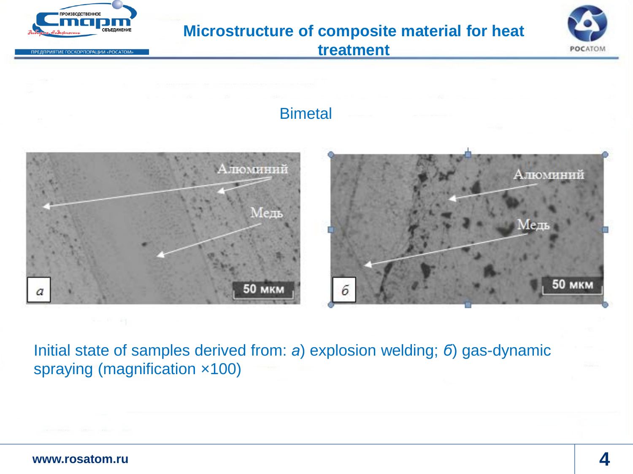

Initial state of samples derived from: *а*) explosion welding; *б*) gas-dynamic spraying (magnification ×100)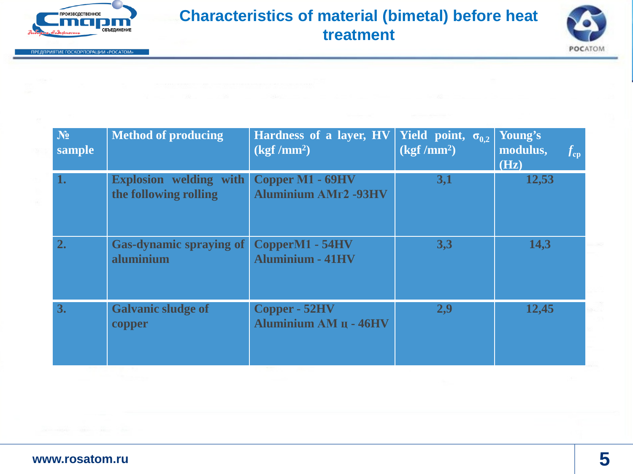

ПРЕДПРИЯТИЕ ГОСКОРПОРАЦИИ «РОСАТОМ»

#### **Characteristics of material (bimetal) before heat treatment**



| $N_2$<br>sample | <b>Method of producing</b>                             | Hardness of a layer, HV<br>$(kgf/mm^2)$         | <b>Yield</b> point, $\sigma_{0,2}$<br>$(kgf/mm^2)$ | Young's<br>modulus,<br>$f_{\rm cp}$<br>(Hz) |
|-----------------|--------------------------------------------------------|-------------------------------------------------|----------------------------------------------------|---------------------------------------------|
| 1.              | <b>Explosion</b> welding with<br>the following rolling | Copper M1 - 69HV<br><b>Aluminium AMr2 -93HV</b> | 3,1                                                | 12,53                                       |
| 2.              | <b>Gas-dynamic spraying of</b><br>aluminium            | CopperM1 - 54HV<br><b>Aluminium - 41HV</b>      | 3,3                                                | 14,3                                        |
| 3.              | <b>Galvanic sludge of</b><br>copper                    | Copper - 52HV<br>Aluminium AM u - 46HV          | 2,9                                                | 12,45                                       |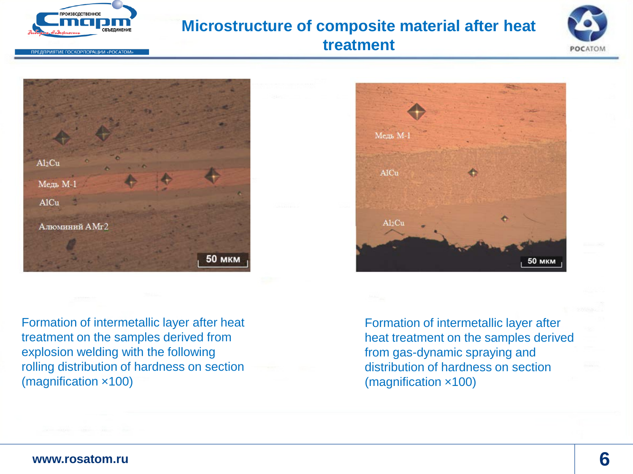

#### **Microstructure of composite material after heat**



**treatment**



Formation of intermetallic layer after heat treatment on the samples derived from explosion welding with the following rolling distribution of hardness on section (magnification ×100)



Formation of intermetallic layer after heat treatment on the samples derived from gas-dynamic spraying and distribution of hardness on section (magnification ×100)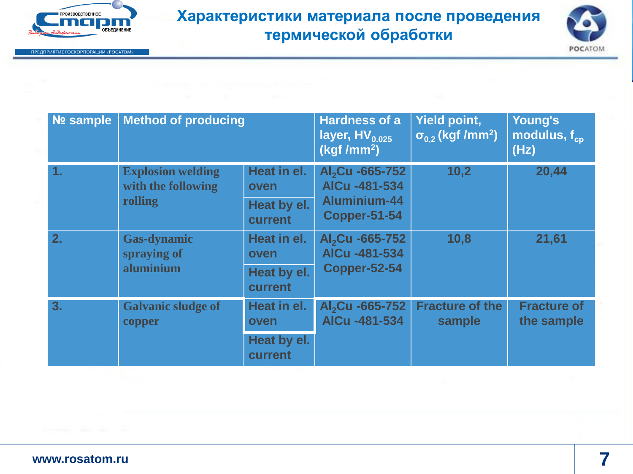

ПРЕДПРИЯТИЕ ГОСКОРПОРАЦИИ «РОСАТОМ»

#### **Характеристики материала после проведения термической обработки**



| <b>Nº sample</b> | <b>Method of producing</b>                                |                        | <b>Hardness of a</b><br>layer, $HV_{0.025}$<br>(kgf/mm <sup>2</sup> )               | <b>Yield point,</b><br>$\sigma_{0.2}$ (kgf /mm <sup>2</sup> ) | Young's<br>modulus, $f_{\rm co}$<br>(Hz) |
|------------------|-----------------------------------------------------------|------------------------|-------------------------------------------------------------------------------------|---------------------------------------------------------------|------------------------------------------|
| 1.               | <b>Explosion welding</b><br>with the following<br>rolling | Heat in el.<br>oven    | Al <sub>2</sub> Cu -665-752<br>AICu -481-534<br>Aluminium-44<br><b>Copper-51-54</b> | 10,2                                                          | 20,44                                    |
|                  |                                                           | Heat by el.<br>current |                                                                                     |                                                               |                                          |
| 2.               | <b>Gas-dynamic</b><br>spraying of<br>aluminium            | Heat in el.<br>oven    | Al <sub>2</sub> Cu -665-752<br>AICu -481-534<br><b>Copper-52-54</b>                 | 10,8                                                          | 21,61                                    |
|                  |                                                           | Heat by el.<br>current |                                                                                     |                                                               |                                          |
| 3.               | <b>Galvanic sludge of</b><br>copper                       | Heat in el.<br>oven    | Al <sub>2</sub> Cu -665-752<br>AICu -481-534                                        | <b>Fracture of the</b><br>sample                              | <b>Fracture of</b><br>the sample         |
|                  |                                                           | Heat by el.<br>current |                                                                                     |                                                               |                                          |